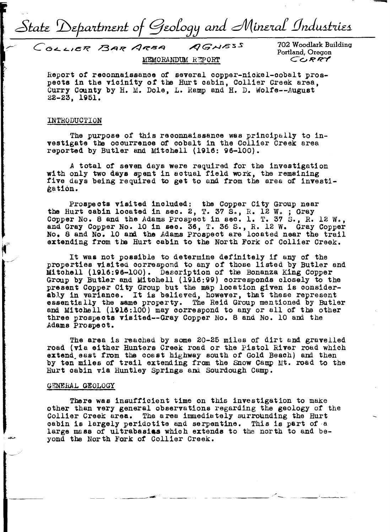State Department of Geology and Mineral Industries

COLLIER BAR ARSA AGNESS MEMORANDUM REPORT

702 Woodlark Building Portland, Oregon *CCJ~R"-1'* 

Report of reoonnaissanoe of several oopper-nickel-oobalt prospects in the vicinity *ot* the Hurt cabin, Collier Creek area, Curry County by H. M. Dole, L. Ramp and H. D. Wolte--August 22-23, **1951.** 

#### INTRODUCTION

The purpose of this reoonnaissanoe was principally to investigate the ooourrenoe *of* cobalt in the Collier Creek area reported by Butler and Mitchell (1916: 96-100).

*<sup>A</sup>*total of seven days were required *tor* the investigation with only two **days** spent in actual field work, the remaining five days being required to get to and from the area of investi*i*ation.

Prospects visited included: the Copper City Group near the Hurt cabin located in sec. 2, T. 37 S., R. 12 W. ; Gray Copper No. 8 and the Adams Prospect in sec. 1. T. 37 S., R. 12 W., and Gray Copper No. 10 in sec. 36, T. 36 s., R, 12 w. Gray Copper No. 8 and No. 10 and the Adams Prospect are looated near the trail extending from the Hurt cabin to the North Fork of Collier Creek.

It was not possible to determine definitely if any of the properties visited correspond to any of those listed by Butler and Mitchell (1916:96-100). Description of the Bonanza King Copper Group by Butler and Mitchell (1916:99) corresponds olosely to the present Copper City Group but the map location given is considerpresent copper clty croup out the map rocation given is consider-<br>ably in variance. It is believed, however, that these represent essentially the same property. The Reid Group mentioned by Butler and Mitchell (1916:100) may oorrespond to any or all or the other three prospects visited--Gray Copper No. 8 and No. 10 and the Adams Prospect.

The area is reached by some 20-25 miles of dirt and gravelled road (via either Hunters Creek road or the Pistol River road which extend east from the coast highway south of Gold Beach) and then by ten miles of trail extending from the Snow Camp Mt. road to the Hurt cabin via Huntley Springs and Sourdough Camp.

#### GENERAL GEOLOGY

There was insufficient time on this investigation to make other than very general observations regarding the geology of the Collier Creek area. The area immediately surrounding the Hurt oabin is largely peridotite and serpentine. This is part of a large mass of ultrabasias which extends to the north to and beyond the North Fork of Collier Creek.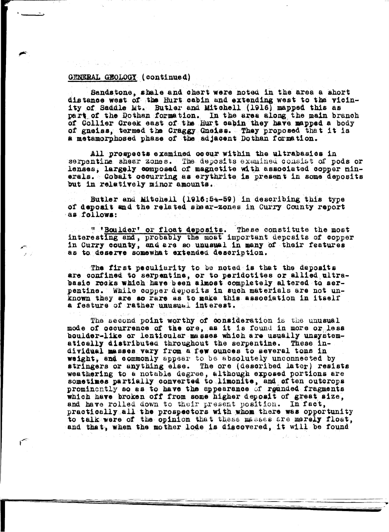Sandstone, shale and chert were noted in the area a short distance west of the Hurt cabin and extending west to the vicinity of Saddle Mt. Butler and Mitchell (1916) mapped this as part of the Dothan formation. In the area along the main branch of Collier Creek east of the Hurt cabin they have mapped a body of gneiss, termed the Craggy Gneiss. They proposed that it is a metamorphosed phase of the adjacent Dothan formation.

All prospects examined occur within the ultrabasics in serpentine shear zones. The deposits examined consist of pods or lenses, largely composed of magnetite with associated copper minerals. Cobalt cocurring as erythrite is present in some deposits but in relatively minor amounts.

Butler and Mitchell (1916:54-59) in describing this type of deposit and the related shear-zones in Curry County report as follows:

" 'Boulder' or float deposits. These constitute the most interesting and, probably the most important deposits of copper in Curry county, and are so unusual in many of their features as to deserve somewhat extended description.

The first peculiarity to be noted is that the deposits are confined to serpentine, or to peridotites or allied ultrabasic rocks which have been almost completely altered to serpentine. While copper deposits in such materials are not unknown they are so rare as to make this association in itself a feature of rather unusual interest.

The second point worthy of consideration is the unusual mode of cocurrence of the ore, as it is found in more or less boulder-like or lenticular masses which are usually unsystem-These inatically distributed throughout the serpentine. dividual masses vary from a few ounces to several tons in weight, and commonly appear to be absolutely unconnected by The ore (described later) resists stringers or anything else. weathering to a notable degree, although exposed portions are sometimes partially converted to limonite, and of ten outcrops prominently so as to have the appearance of rounded fragments which have broken off from some higher deposit of great size. and have rolled down to their present position. In fact, practically all the prospectors with whom there was opportunity to talk were of the opinion that these masses are merely float, and that, when the mother lode is discovered. it will be found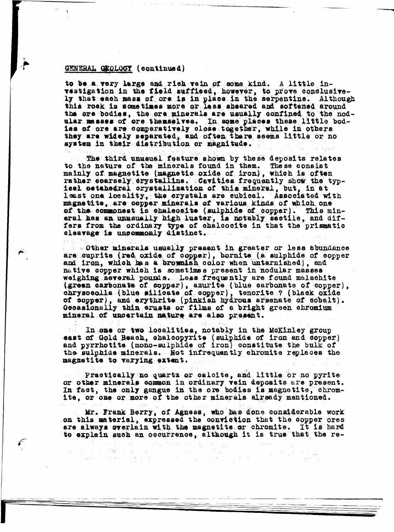to be a very large and rich vein of some kind. A little investigation in the field sufficed, however, to prove conclusive-<br>ly that each mass of ore is in place in the serpentine. Although<br>this rock is sometimes more or less sheared and softened around the ore bodies, the ore minerals are usually confined to the nodular masses of ore themselves. In some places these little bodiss of ore are comparatively close together, while in others they are widely separated, and often there seems little or no system in their distribution or magnitude.

The third unusual feature shown by these deposits relates<br>to the nature of the minerals found in them. These consist mainly of magnetite (magnetic oxide of iron), which is often rather coarsely crystalline. Cavities frequently show the typical ostahedral orystallization of this mineral, but, in at least one locality, the crystals are cubical. Associated with magnetite, are copper minerals of various kinds of which one of the commonest is chalcocite (sulphide of copper). This mineral has an unusually high luster, is notably sectile, and differs from the ordinary type of chalcocite in that the prismatic cleavage is uncommonly distinct.

. Other minerals usually present in greater or less abundance are cuprite (red oxide of copper), bornite (a sulphide of copper and iron, which has a brownish color when untarnished), and native copper which is sometimes present in nodular masses weighing several pounds. Less frequently are found malachite (green carbonate of copper), azurite (blue carbonate of copper), chrysocolla (blue silicate of copper), tenorite ? (black oxide of copper), and erythrite (pinkish hydrous arsenate of cobalt). Occasionally thin erusts or films of a bright green chromium mineral of uncertain nature are also present.

In one or two localities, notably in the McKinley group east of Gold Beach, chalcopyrite (sulphide of iron and copper) and pyrrhotite (mono-sulphide of iron) constitute the bulk of the sulphide minerals. Not infrequently chromite replaces the magnetite to varying extent.

Practically no quartz or calcite, and little or no pyrite or other minerals common in ordinary vein deposits are present. In fact, the only gangue in the ore bodies is magnetite, chromite, or one or more of the other minerals already mentioned.

Mr. Frank Berry, of Agness, who has done considerable work on this material, expressed the conviction that the copper ores are always overlain with the magnetite or chromite. It is hard to explain such an occurrence, although it is true that the re-

 $\label{eq:2.1} \frac{1}{\sqrt{2}}\sum_{i=1}^n\frac{1}{\sqrt{2}}\left(\frac{1}{\sqrt{2}}\right)^2\left(\frac{1}{\sqrt{2}}\right)^2\left(\frac{1}{\sqrt{2}}\right)^2\left(\frac{1}{\sqrt{2}}\right)^2.$ 

 $\label{eq:3} \mathcal{F} = \mathcal{F}(\mathcal{F} \times \mathcal{F} \times \mathcal{F} \times \mathcal{F} \times \mathcal{F})$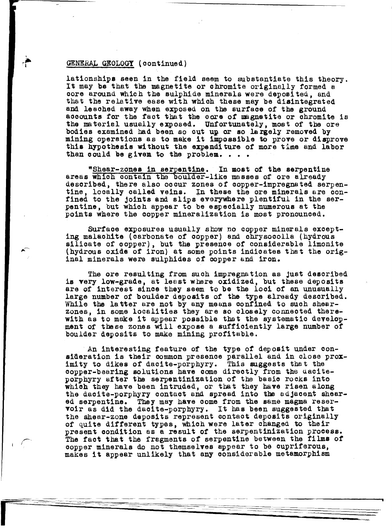r

lationshipa seen in the field seem to substantiate this theory. It may **be** that the magnetite or chromite originally formed a core around which the sulphide minerals were deposited, and that the relative ease with which these may be disintegrated and leached away when exposed on the surface of the ground accounts for the fact that the core of magnetite or chromite is the material usually exposed. Unfortunately, most of the ore bodies examined bad been so out up or so largely removed by mining operations as to make it impossible to prove or disprove this hypothesis without the expenditure *ot* more time and labor than could be given to the problem.  $\ldots$ .

"Shear-zones in serpentine. In most of the serpentine areas which contain the boulder-like masses of ore already described, there also occur zones of copper-impregnated serpentine, locally called veins. in these the ore minerals are confined to the joints and slips everywhere plentiful in the serpentine, but which appear to be especially numerous at the points where the copper mineralization is most pronounced.

Surface exposures usually show no copper minerals except-<br>ing malachite (carbonate of copper) and chrysocolla (hydrous silicate of copper), but the presence of considerable limonite (hydrous oxide of iron) at some points indicates that the original minerals were sulphides of copper and iron.

The ore resulting from such impregnation as Just described is very low-grade, at least where oxidized, but these deposits are of interest since they seem to be the loci of an unusually large number of boulder deposits of the type already described. While the latter are not by any means confined to such shearzones, in some localities they are so closely connected therewith as to make it appear possible tbat the systematic development of these zones will expose a sufficiently large number of boulder deposits to make mining profitable.

An interesting feature of the type of deposit under consideration is their common presence parallel and in close proximity to dikes of daoite-porphyry. This suggests that the copper-bearing solutions have come directly from the daciteporphyry after the serpentinization of the basic rocks into which they have been intruded, or that they have risen along the dacite-porphyry contact and spread into the adjacent sheared serpentine. They may have oome from the same magma resered serpentine. They may have come from the same magna reser-<br>voir as did the dacite-porphyry. It has been suggested that the shear-zone deposits represent contact deposits originally of quite ditterent types, which were later changed to their present condition as a result of the serpentinization process. The fact that the fragments of serpentine between the films of copper minerals do not themselves appear to be cupriferous, makes it appear unlikely that any considerable metamorphism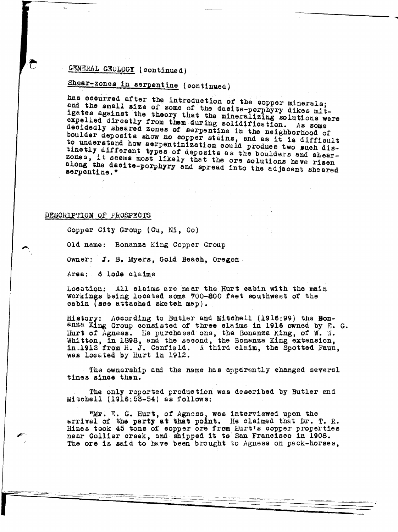# Shear-zones in serpentine (continued)

has occurred after the introduction of the copper minerals; and the small size of some of the dacite-porphyry dikes mitigates against the theory that the mineralizing solutions were expelled directly from them during solidification. As some decidedly sheared zones of serpentine in the neighborhood of boulder deposits show no copper stains, and as it is difficult<br>to understand how serpentinization could produce two such distinetly different types of deposits as the boulders and shearzones, it seems most likely that the ore solutions have risen along the dacite-porphyry and spread into the adjacent sheared serpentine."

#### DESCRIPTION OF PROSPECTS

Copper City Group (Cu, Ni, Co)

Old name: Bonanza King Copper Group

Owner: J. B. Myers, Gold Beach, Oregon

Area: 6 lode claims

Location: All claims are mear the Hurt cabin with the main workings being located some 700-800 feet southwest of the cabin (see attached sketch map).

History: According to Butler and Mitchell (1916:99) the Bonanza King Group consisted of three claims in 1916 owned by E. G. Hurt of Agness. He purchased one, the Bonanza King, of W. W.<br>Whitton, in 1898, and the second, the Bonanza King extension, in 1912 from R. J. Canfield. A third claim, the Spotted Faun, was located by Hurt in 1912.

The ownership and the name has apparently changed several times since then.

The only reported production was described by Butler and Mitchell (1916:53-54) as follows:

"Mr. E. G. Hurt, of Agness, was interviewed upon the arrival of the party at that point. He claimed that Dr. T. R. Hines took 45 tons of copper ore from Hurt's copper properties near Collier creek, and shipped it to San Francisco in 1908. The ore is said to have been brought to Agness on pack-horses.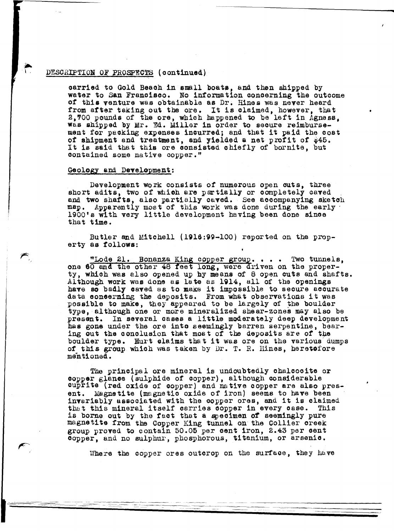#### DESCRIPTION OF PROSPECTS (continued)

oarried to Gold Beaoh 1n small boats, and then shipped by water to San Francisco. No information oonoerning the outcome or this venture was obtainable as Dr. Hines was never heard from after taking out the ore. It is claimed, however, that 2,700 pounds of the ore, which happened to be left in Agness. was shipped by Mr. Ed. Miller in order to secure reimbursement for packing expenses incurred; and that it paid the cost of shipment and treatment, and yielded a net profit of \$45. It is said that this ore consisted chiefly of bornite, but contained some native oopper."

#### Geology and Development:

Development work consists of numerous open outs, three short adits, two of which are partially or completely caved and two shafts, also partially caved. See accompanying sketch map. Apparently most of this work was done during the early 1900's with very little development having been done since that time.

Butler and Mitchell (1916:99-100) reported on the property as tollows:

"Lode 21. Bonanza King copper group.... Two tunnels, one 60 and the other 48 feet long, were driven on the property, which was elso opened up by means of 8 open outs and shafts. Although work was done as late as 1914, all of the openings have so badly caved as to make it impossible to secure accurate data coneerning the deposits. From what observations it was possible to make, they appeared to be largely of the boulder type, although one or more mineralized shear-zones may also be present. In several cases a little moderately deep development In several cases a little moderately deep development has gone under the ore into seemingly barren serpentine, bearing out the conolusion that most of the deposits are of the boulder type. Hurt claims that it was ore on the various dumps of this group which was taken by Dr. T. R. Uines, heretofore mentioned.

The principal ore mineral is undoubtedly ohalooeite or copper glanoe (sulphide or copper), although considerable cuprite (red oxide of copper) and native copper are also present. Magnetite (magnetic oxide of iron) seems to have been invariably asaooiated with the copper ores, and it is claimed that this mineral itself carries copper in every case. This is borne out by the tact that a specimen or seemingly pure magnetite from tba Copper King tunnel on the Collier creek group proved to contain 50.05 per cent iron, 2.43 per cent oopper, and no sulphur, phosphorous, titanium, or arsenic.

Where the copper ores outcrop on the surface, they have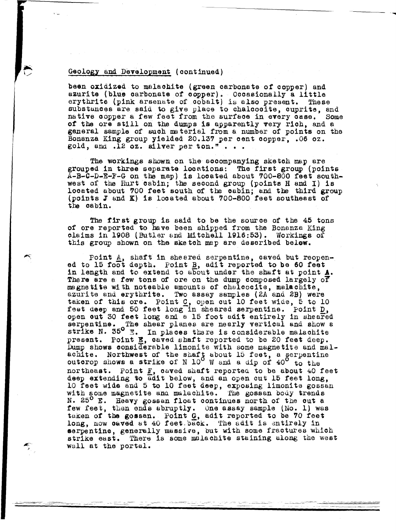#### Geology and Development (continued)

 $\leftarrow$ 

been oxidized to malachite (green carbonate of copper) and azurite (blue carbonate of copper). Occasionally a little erythrite (pink arsenate of cobalt) is also present. These erythrite (pink arsenate of cobalt) is also present. substances are said to give place to chalcocite, cuprite, and native copper a few feet from the surface in every case. Some of the ore still on the dumps is ayparently very rioh, and a general sample of such material from a number of points on the Bonanza King group yielded 20.137 per oent copper, .06 oz. gold, and  $.12$  oz. silver per ton."...

The workings shown on the aooompanying sketch map are grouped in three separate locations: The first group (points A-B-C-D-E-F-G on tbe map) is located about 700-800 **feet** southwest of the Hurt cabin; the second group (points H and I) is located about 700 feet south of the cabin; and the third group (points J &nd K) is 1008.tad about 700-800 feet southeast of the cabin.

The first group is said to be the source of the 45 tons of ore reported to have been shipped from the Bonanza King olaims in 1908 (Butler and Mitchell 1916:53}. Workings of this group shown on the sketch map are described below.

Point A, shaft in sheared serpentine, caved but reopen-<br>ed to 15 foot depth. Point B, adit reported to be 60 feet in length and to extend to about under the shaft at point  $\frac{1}{2}$ . There are a few tons of ore on the dump composed largely of magnetite with noteable amounts of chalcocite, malachite, azurite and erythrite. Two assay samples (2A and 2B) were taken of this ore. Point C, open out 10 feet wide, 5 to 10 feet deep and 50 feet long in sheared serpentine. Point D, open out 30 feet long and a 15 foot adit entirely in sheared serpentine. The shear planes are nearly vertical and show a strike N. 35° E. In places there is considerable malachite strike N. 30 E. In places there is considerable malachite<br>present. Point E, caved shaft reported to be 20 feet deep. Dump shows considerable limonite with some magnetite and malachite. Northwest of the shaft about 15 feet, a serpentine outcrop shows a strike of N  $10^{\circ}$  W and a dip of  $40^{\circ}$  to the northeast. Point  $F$ , caved shaft reported to be about 40 feet deep extending to adit below, and an open cut 15 feet long, 10 feet wide and 5 to 10 feet deep, exposing limonite gossan with some magnetite and malachite. The gossan body trends N. 25<sup>0</sup> E. Heavy gossan float continues north of the cut a few feet, then ends abruptly. One assay sample (No. 1) was taken of the gossan. Point G, adit reported to be 70 feet long, now caved at 40 feet.back. The adit is entirely in serpentine, generally massive, but with some fractures which strike east. There is some malachite staining along the west wall at the portal.

-----=- - --~~ --

~-- ~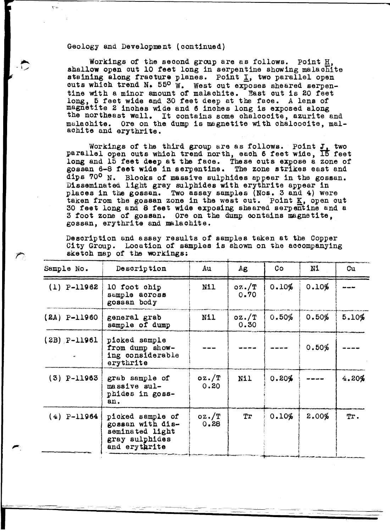#### Geology and Development (continued)

Workings of the second group are as follows. Point H, shallow open out 10 feet long in serpentine showing malachite staining along fracture planes. Point I, two parallel open cuts which trend N.  $55^{\circ}$  W. West out exposes sheared serpentine with a minor amount of malachite. East out is 20 feet long, 6 feet wide and 30 feet deep at the face. A lens of magnetite 2 inches wide and 6 inches long is exposed along the northeast wall. It contains some chalcocite, azurite and malachite. Ore on the dump is magnetite with chalcocite, malachite and erythrite.

Workings of the third group are as follows. Point *J<sub>1</sub>* two parallel open outs which trend north, each 6 feet wide, 15 feet long and 15 feet **deep** at the face. These outs expose a zone of gossan 6-8 **feet wide** in serpentine. The zone strikes east and dips 70° N. Blocks *ot* massive sulphides appear in the gossan. Disseminated light gray sulphides with erythr1 te appear in places in the gossan. Two assay samples (Nos. 3 and 4) were taken from the gossan zone in the west out. Point K, open out <sup>30</sup>feet long and 8 feet **wide** exposing sheared serpentine and <sup>a</sup> 3 foot zone of gossan. Ore on the dump contains magnetite. gossan, erythrite and malachite.

Description and assay results ot samples taken at the Copper City Group. Location of samples is shown on the accompanying sketch map of the workings;

| sketch map of the workings: |                                                                                            |                  |                  |       |       |       |
|-----------------------------|--------------------------------------------------------------------------------------------|------------------|------------------|-------|-------|-------|
| Sample No.                  | Description                                                                                | Au               | Ag               | Co    | N1    | Cu    |
| $(1)$ P-11962               | 10 foot chip<br>sample across<br>gossan body                                               | N11              | $QZ.$ /T<br>0.70 | 0.10% | 0.10% |       |
| $(2A) P-11960$              | general grab<br>sample of dump                                                             | N11              | $oz.$ /T<br>0.30 | 0.50% | 0.50% | 5.10% |
| $(2B)$ P-11961              | picked sample<br>from dump show-<br>ing considerable<br>erythrite                          |                  |                  |       | 0.50% |       |
| $(3)$ P-11963               | grab sample of<br>massive sul-<br>phides in goss-<br>an.                                   | oz./T<br>0.20    | Nil              | 0.20% |       | 4.20% |
| $(4)$ P-11964               | picked sample of<br>gossan with dis-<br>seminated light<br>gray sulphides<br>and erythrite | $0Z.$ /T<br>0.28 | Tr               | 0.10% | 2.00% | Tr.   |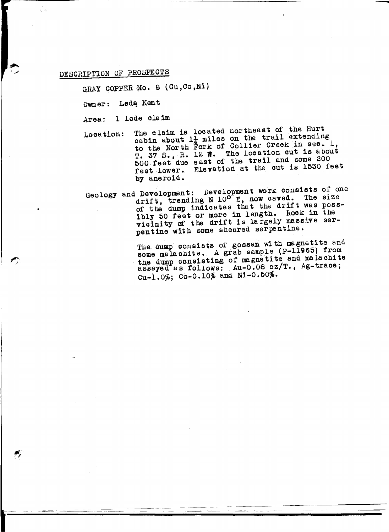### DESCRIPTION OF PROSPECTS

 $\cdot$  .

GRAY COPPER No. 8 (Cu, Co, Ni)

Owner: Ledą Kent

Area: 1 lode claim

- Location: The claim is located northeast of the Hurt cabin about  $1\frac{1}{4}$  miles on the trail extending to the North Fork of Collier Creek in sec. 1, T. 37 S., R. 12 W. The location out is about 600 feet due east of the trail and some 200 feet lower. Elevation at the cut is 1530 feet by aneroid.
- Geology and Development: Development work consists of one drift, trending N  $10^{\circ}$  E, now caved. The size of the dump indicates that the drift was possibly bO feet or more in length. Rock in the vicinity of the drift is largely massive serpentine with some sheared serpentine.

The dump consists of gossan with magnetite and some malachite. A grab sample (P-11965) from the dump consisting of magnetite and malachite assayed as follows: Au-0.08 oz/T., Ag-trace;  $Cu-1.0\%$ ; Co-0.10% and N1-0.50%.

-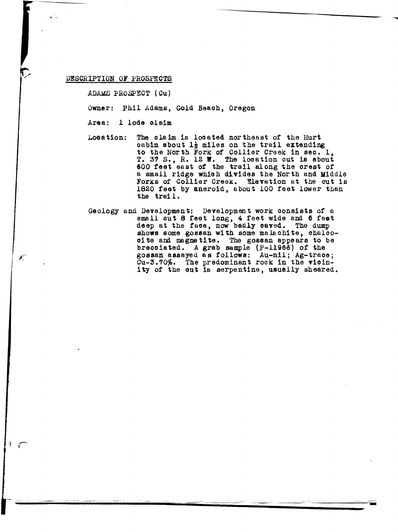#### DESCRIPTION OF PROSPECTS

ADAMS PROSPECT ( Cu)

Owner: Phil Adams, Gold Beach, Oregon

Area: l lode olaim

- Location: The claim is located northeast of the Hurt cabin about  $1\frac{1}{2}$  miles on the trail extending to the North Fork of Collier Creek in sec. 1, T. 37 S., R. 12 W. The location cut is about 600 feet east of the trail along the crest of a small ridge whioh divides the North and Middle Forks of Collier Creek. Elevation at the cut is 1820 feet by aneroid, about 100 feet lower than the trail.
- Geology and Development: Development work consists of a small out 8 feet long, 4 feet wide and 6 feet deep at the face, now badly caved. The dump shows some gossan with some malachite, chalcooite and magnetite. The gossan appears to be brecciated. A grab sample (P-11966) of the gossan assayed as follows: Au-nil; Ag-trace; Cu-3.70%. The predominant rock in the vicinity of the out is serpentine, usually sheared.

-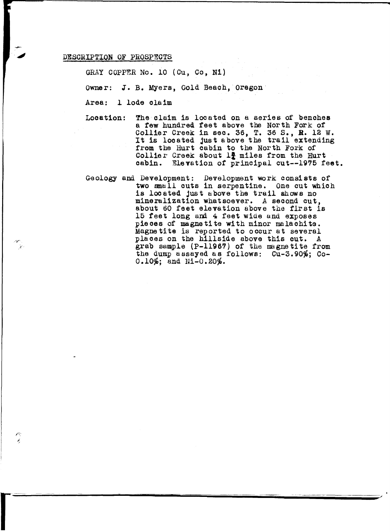#### DESCRIPTION OF PROSPECTS

r<br>Fransız<br>Fransız

GRAY COPPER No. 10 (Cu, Co, Ni)

owner: J.B. Myers, Gold Beaoh, Oregon

Area: l lode claim

Location: The claim is located on a aeries of benohea a tew hundred feet above the North Fork of Collier Creek in sec. 36, T. 36 s., R. 12 w. UCLIMET CLESA IN SEC. 50, I. 50 S., A. 12 W.<br>It is located just above the trail extending from the Hurt cabin to the North Fork of Collier Creek about  $l$  miles from the Hurt oabin. Elevation of principal cut--1975 feet.

Geology and Development: Development work consists of two small outs in serpentine. One cut which is located just above the trail shows no mineralization whatsoever. A second cut, about 60 feet elevation above the flrst is 15 feet long and 4 feet wide and exposes pieces of magnetite with minor malachite. Magnetite is reported to occur at several pla oes on the hillside above this cut. A grab sample  $(P-11967)$  of the magnetite from the dump assayed as follows: Cu-3.90%; Co- $0.10\%;$  and Ni-0.20%.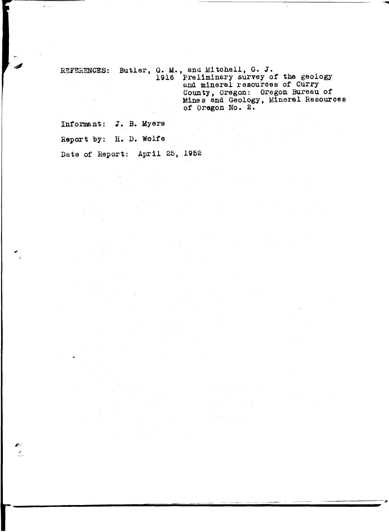REFERENCES: Butler, G. M., and Mitchell, G. J. 1916 Preliminary survey or the geology and mineral resources or Curry County, Oregon: Oregon Bureau or Mines and Geology, Mineral Resources  $\Delta \sim 10^4$  k of Oregon No. 2.

Informant: J. B. Myers

Report by: H. D. Wolfe

*,I* 

Ń.

Date of Report: April 25, 1962